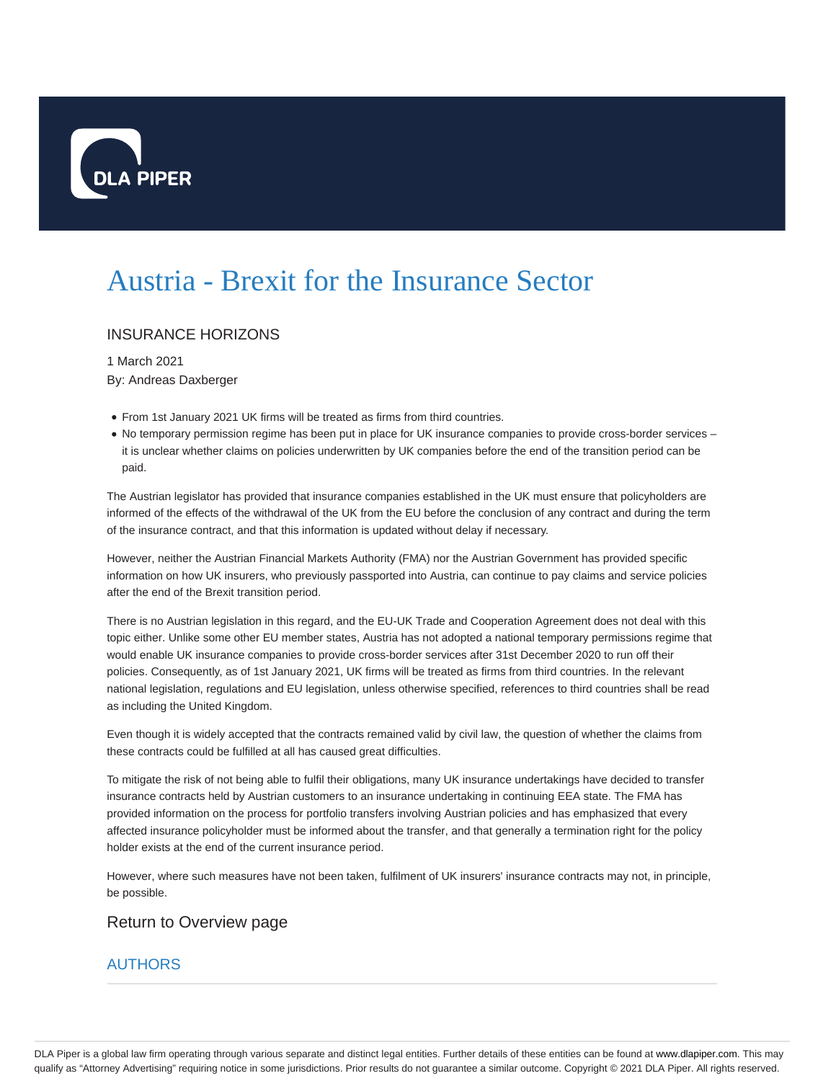

## Austria - Brexit for the Insurance Sector

## INSURANCE HORIZONS

1 March 2021 By: Andreas Daxberger

- From 1st January 2021 UK firms will be treated as firms from third countries.
- No temporary permission regime has been put in place for UK insurance companies to provide cross-border services it is unclear whether claims on policies underwritten by UK companies before the end of the transition period can be paid.

The Austrian legislator has provided that insurance companies established in the UK must ensure that policyholders are informed of the effects of the withdrawal of the UK from the EU before the conclusion of any contract and during the term of the insurance contract, and that this information is updated without delay if necessary.

However, neither the Austrian Financial Markets Authority (FMA) nor the Austrian Government has provided specific information on how UK insurers, who previously passported into Austria, can continue to pay claims and service policies after the end of the Brexit transition period.

There is no Austrian legislation in this regard, and the EU-UK Trade and Cooperation Agreement does not deal with this topic either. Unlike some other EU member states, Austria has not adopted a national temporary permissions regime that would enable UK insurance companies to provide cross-border services after 31st December 2020 to run off their policies. Consequently, as of 1st January 2021, UK firms will be treated as firms from third countries. In the relevant national legislation, regulations and EU legislation, unless otherwise specified, references to third countries shall be read as including the United Kingdom.

Even though it is widely accepted that the contracts remained valid by civil law, the question of whether the claims from these contracts could be fulfilled at all has caused great difficulties.

To mitigate the risk of not being able to fulfil their obligations, many UK insurance undertakings have decided to transfer insurance contracts held by Austrian customers to an insurance undertaking in continuing EEA state. The FMA has provided information on the process for portfolio transfers involving Austrian policies and has emphasized that every affected insurance policyholder must be informed about the transfer, and that generally a termination right for the policy holder exists at the end of the current insurance period.

However, where such measures have not been taken, fulfilment of UK insurers' insurance contracts may not, in principle, be possible.

## Return to Overview page

## **AUTHORS**

DLA Piper is a global law firm operating through various separate and distinct legal entities. Further details of these entities can be found at www.dlapiper.com. This may qualify as "Attorney Advertising" requiring notice in some jurisdictions. Prior results do not guarantee a similar outcome. Copyright © 2021 DLA Piper. All rights reserved.